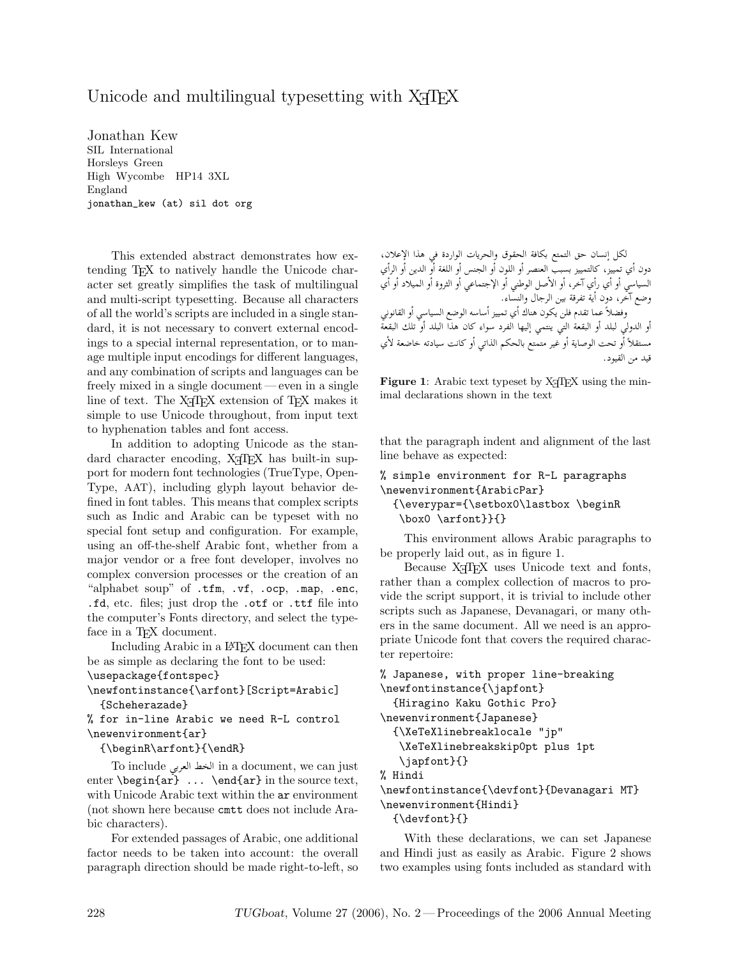## Unicode and multilingual typesetting with X<sub>T</sub>T<sub>E</sub>X

Jonathan Kew SIL International Horsleys Green High Wycombe HP14 3XL England jonathan\_kew (at) sil dot org

This extended abstract demonstrates how extending TEX to natively handle the Unicode character set greatly simplifies the task of multilingual and multi-script typesetting. Because all characters of all the world's scripts are included in a single standard, it is not necessary to convert external encodings to a special internal representation, or to manage multiple input encodings for different languages, and any combination of scripts and languages can be freely mixed in a single document — even in a single line of text. The X<sub>T</sub>T<sub>F</sub>X extension of T<sub>F</sub>X makes it simple to use Unicode throughout, from input text to hyphenation tables and font access.

In addition to adopting Unicode as the standard character encoding, X<sub>T</sub>T<sub>E</sub>X has built-in support for modern font technologies (TrueType, Open-Type, AAT), including glyph layout behavior defined in font tables. This means that complex scripts such as Indic and Arabic can be typeset with no special font setup and configuration. For example, using an off-the-shelf Arabic font, whether from a major vendor or a free font developer, involves no complex conversion processes or the creation of an "alphabet soup" of .tfm, .vf, .ocp, .map, .enc, .fd, etc. files; just drop the .otf or .ttf file into the computer's Fonts directory, and select the typeface in a T<sub>F</sub>X document.

Including Arabic in a L<sup>AT</sup>FX document can then be as simple as declaring the font to be used:

```
\usepackage{fontspec}
```

```
\newfontinstance{\arfont}[Script=Arabic]
 {Scheherazade}
```

```
% for in-line Arabic we need R-L control
\newenvironment{ar}
```
{\beginR\arfont}{\endR}

To include الخط العربي in a document, we can just enter \begin{ar} ... \end{ar} in the source text, with Unicode Arabic text within the  $ar$  environment (not shown here because cmtt does not include Arabic characters).

For extended passages of Arabic, one additional factor needs to be taken into account: the overall paragraph direction should be made right-to-left, so

لكل إنسان حق التمتع بكافة الحقوق والحريات الواردة في هذا الإعلان، دون أي تمييز، كالتمييز بسبب العنصر أو اللون أو الجنس أو اللغة أو الدين أو الرأي السياسي أو أي رأي آخر، أو الأصل الوطني أو الإجتماعي أو الثروة أو الميلاد أو أي وضع آخر، دون أية تفرقة بين الرجال والنسّاء. وفضلاً عما تقدم فلن يكون هناك أي تمييز أساسه الوضع السياسي أو القانوني أو الدولي لبلد أو البقعة التي ينتمى إليها الفرد سواء كان هذا البلد أو ّتلك البقعةّ مستقلاً أو تحت الوصاية أو غير متمتع بالحكم الذاتي أو كانت سيادته خاضعة لأي قيد من القيود.

Figure 1: Arabic text typeset by  $X \nsubseteq T$  using the minimal declarations shown in the text

that the paragraph indent and alignment of the last line behave as expected:

```
% simple environment for R-L paragraphs
\newenvironment{ArabicPar}
 {\everypar={\setbox0\lastbox \beginR
   \box0 \arfont}}{}
```
This environment allows Arabic paragraphs to be properly laid out, as in figure 1.

Because X<sub>T</sub>T<sub>F</sub>X uses Unicode text and fonts, rather than a complex collection of macros to provide the script support, it is trivial to include other scripts such as Japanese, Devanagari, or many others in the same document. All we need is an appropriate Unicode font that covers the required character repertoire:

```
% Japanese, with proper line-breaking
\newfontinstance{\japfont}
  {Hiragino Kaku Gothic Pro}
\newenvironment{Japanese}
 {\XeTeXlinebreaklocale "jp"
   \XeTeXlinebreakskip0pt plus 1pt
   \japfont}{}
% Hindi
\newfontinstance{\devfont}{Devanagari MT}
\newenvironment{Hindi}
 {\devfont}{}
```
With these declarations, we can set Japanese and Hindi just as easily as Arabic. Figure 2 shows two examples using fonts included as standard with